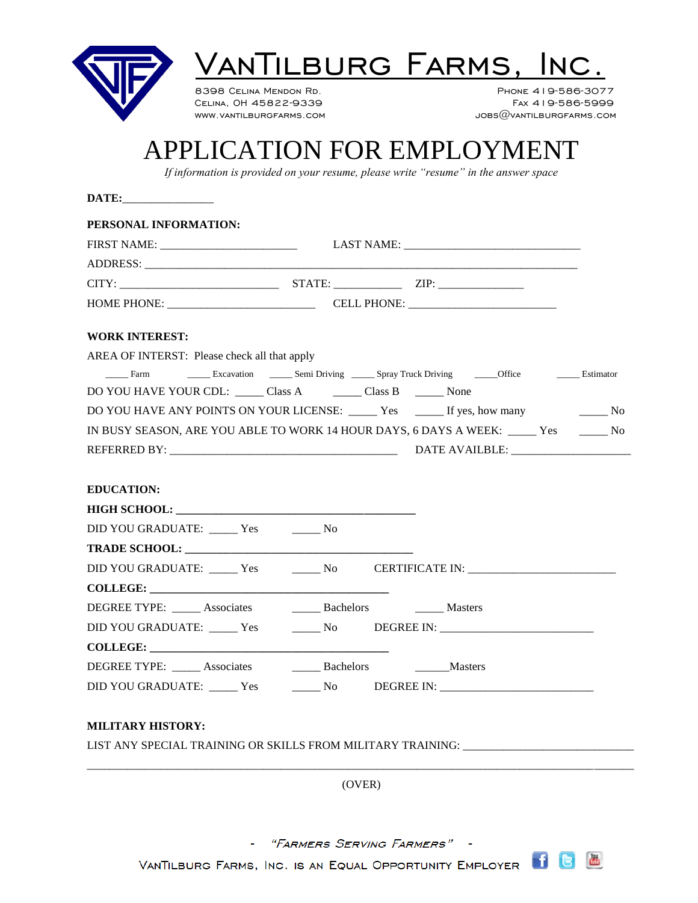

## ANTILBURG FARMS,

8398 CELINA MENDON RD. 2008 2009 2010 2020 PHONE 419-586-3077 Celina, OH 45822-9339 Fax 419-586-5999  $JOBS@VANTILBURGFARMS.COM$ 

## APPLICATION FOR EMPLOYMENT

*If information is provided on your resume, please write "resume" in the answer space*

| PERSONAL INFORMATION:                                           |                                                                                                                                                   |  |
|-----------------------------------------------------------------|---------------------------------------------------------------------------------------------------------------------------------------------------|--|
|                                                                 |                                                                                                                                                   |  |
|                                                                 |                                                                                                                                                   |  |
|                                                                 |                                                                                                                                                   |  |
|                                                                 |                                                                                                                                                   |  |
| <b>WORK INTEREST:</b>                                           |                                                                                                                                                   |  |
| AREA OF INTERST: Please check all that apply                    |                                                                                                                                                   |  |
|                                                                 | Farm $\qquad \qquad$ Excavation $\qquad \qquad$ Semi Driving $\qquad \qquad$ Spray Truck Driving $\qquad \qquad$ Office $\qquad \qquad$ Estimator |  |
|                                                                 |                                                                                                                                                   |  |
|                                                                 | DO YOU HAVE ANY POINTS ON YOUR LICENSE: ______ Yes ______ If yes, how many ________ No                                                            |  |
|                                                                 | IN BUSY SEASON, ARE YOU ABLE TO WORK 14 HOUR DAYS, 6 DAYS A WEEK: ______ Yes ________ No                                                          |  |
|                                                                 |                                                                                                                                                   |  |
|                                                                 |                                                                                                                                                   |  |
| <b>EDUCATION:</b>                                               |                                                                                                                                                   |  |
|                                                                 |                                                                                                                                                   |  |
| DID YOU GRADUATE: ______ Yes ________ No                        |                                                                                                                                                   |  |
|                                                                 |                                                                                                                                                   |  |
|                                                                 | DID YOU GRADUATE: _____ Yes _______ No _____ CERTIFICATE IN: ____________________                                                                 |  |
| COLLEGE:                                                        |                                                                                                                                                   |  |
| DEGREE TYPE: _____ Associates _______ Bachelors _______ Masters |                                                                                                                                                   |  |
|                                                                 | DID YOU GRADUATE: ______ Yes ________ No _____ DEGREE IN: _______________________                                                                 |  |
| COLLEGE:                                                        |                                                                                                                                                   |  |
| DEGREE TYPE: _____ Associates _______ Bachelors _______ Masters |                                                                                                                                                   |  |
|                                                                 | DID YOU GRADUATE: ______ Yes ________ No _____ DEGREE IN: ______________________                                                                  |  |
|                                                                 |                                                                                                                                                   |  |
| <b>MILITARY HISTORY:</b>                                        |                                                                                                                                                   |  |
|                                                                 | LIST ANY SPECIAL TRAINING OR SKILLS FROM MILITARY TRAINING:                                                                                       |  |
|                                                                 |                                                                                                                                                   |  |
|                                                                 | (OVER)                                                                                                                                            |  |
|                                                                 |                                                                                                                                                   |  |
|                                                                 |                                                                                                                                                   |  |

- "FARMERS SERVING FARMERS" -

VANTILBURG FARMS, INC. IS AN EQUAL OPPORTUNITY EMPLOYER **1**